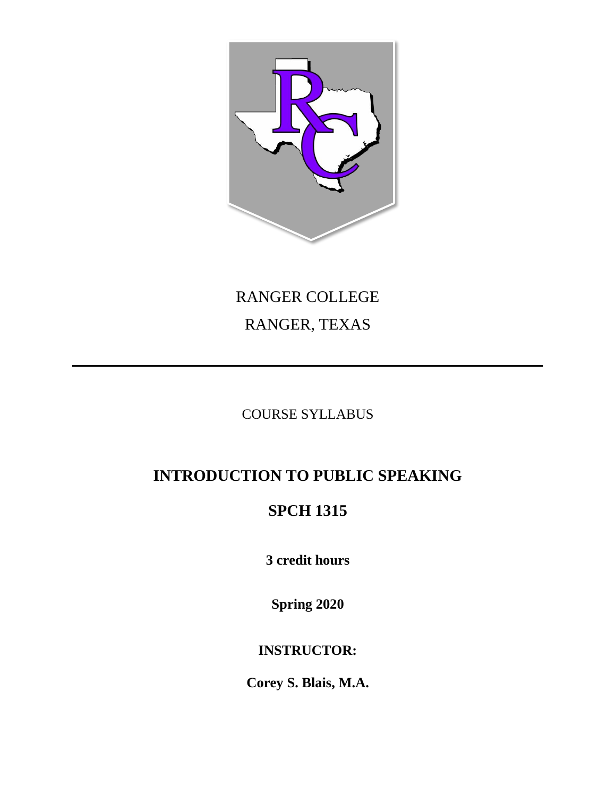

# RANGER COLLEGE RANGER, TEXAS

## COURSE SYLLABUS

## **INTRODUCTION TO PUBLIC SPEAKING**

## **SPCH 1315**

**3 credit hours**

**Spring 2020**

### **INSTRUCTOR:**

**Corey S. Blais, M.A.**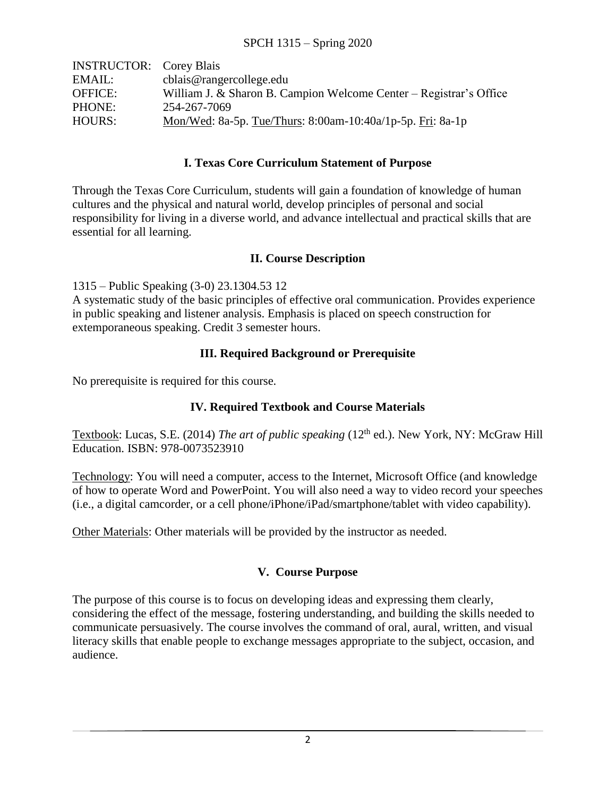| <b>INSTRUCTOR:</b> Corey Blais |                                                                    |
|--------------------------------|--------------------------------------------------------------------|
| EMAIL:                         | cblais@rangercollege.edu                                           |
| <b>OFFICE:</b>                 | William J. & Sharon B. Campion Welcome Center – Registrar's Office |
| PHONE:                         | 254-267-7069                                                       |
| HOURS:                         | Mon/Wed: 8a-5p. Tue/Thurs: 8:00am-10:40a/1p-5p. Fri: 8a-1p         |

#### **I. Texas Core Curriculum Statement of Purpose**

Through the Texas Core Curriculum, students will gain a foundation of knowledge of human cultures and the physical and natural world, develop principles of personal and social responsibility for living in a diverse world, and advance intellectual and practical skills that are essential for all learning.

#### **II. Course Description**

1315 – Public Speaking (3-0) 23.1304.53 12

A systematic study of the basic principles of effective oral communication. Provides experience in public speaking and listener analysis. Emphasis is placed on speech construction for extemporaneous speaking. Credit 3 semester hours.

#### **III. Required Background or Prerequisite**

No prerequisite is required for this course.

#### **IV. Required Textbook and Course Materials**

Textbook: Lucas, S.E. (2014) *The art of public speaking* (12<sup>th</sup> ed.). New York, NY: McGraw Hill Education. ISBN: 978-0073523910

Technology: You will need a computer, access to the Internet, Microsoft Office (and knowledge of how to operate Word and PowerPoint. You will also need a way to video record your speeches (i.e., a digital camcorder, or a cell phone/iPhone/iPad/smartphone/tablet with video capability).

Other Materials: Other materials will be provided by the instructor as needed.

#### **V. Course Purpose**

The purpose of this course is to focus on developing ideas and expressing them clearly, considering the effect of the message, fostering understanding, and building the skills needed to communicate persuasively. The course involves the command of oral, aural, written, and visual literacy skills that enable people to exchange messages appropriate to the subject, occasion, and audience.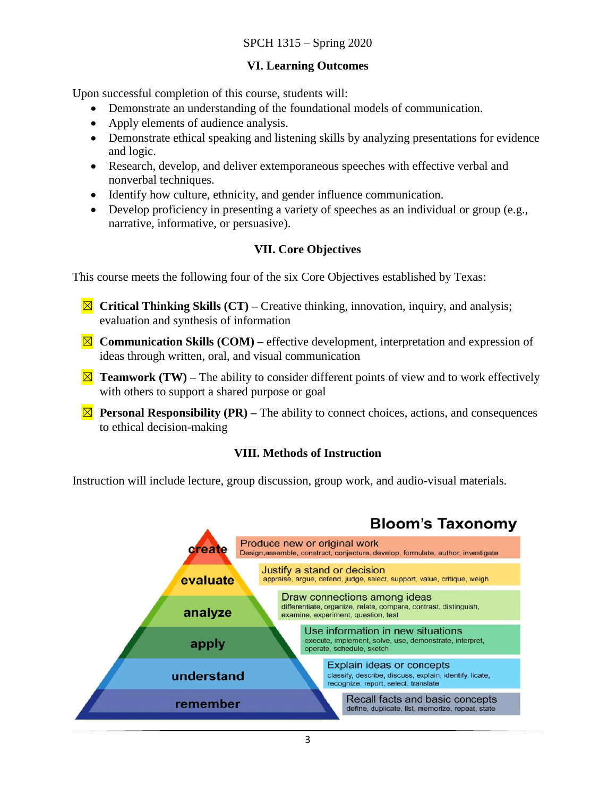#### **VI. Learning Outcomes**

Upon successful completion of this course, students will:

- Demonstrate an understanding of the foundational models of communication.
- Apply elements of audience analysis.
- Demonstrate ethical speaking and listening skills by analyzing presentations for evidence and logic.
- Research, develop, and deliver extemporaneous speeches with effective verbal and nonverbal techniques.
- Identify how culture, ethnicity, and gender influence communication.
- Develop proficiency in presenting a variety of speeches as an individual or group (e.g., narrative, informative, or persuasive).

#### **VII. Core Objectives**

This course meets the following four of the six Core Objectives established by Texas:

- ☒ **Critical Thinking Skills (CT) –** Creative thinking, innovation, inquiry, and analysis; evaluation and synthesis of information
- ☒ **Communication Skills (COM) –** effective development, interpretation and expression of ideas through written, oral, and visual communication
- $\Xi$  **Teamwork (TW)** The ability to consider different points of view and to work effectively with others to support a shared purpose or goal
- $\boxtimes$  **Personal Responsibility (PR)** The ability to connect choices, actions, and consequences to ethical decision-making

#### **VIII. Methods of Instruction**

Instruction will include lecture, group discussion, group work, and audio-visual materials.

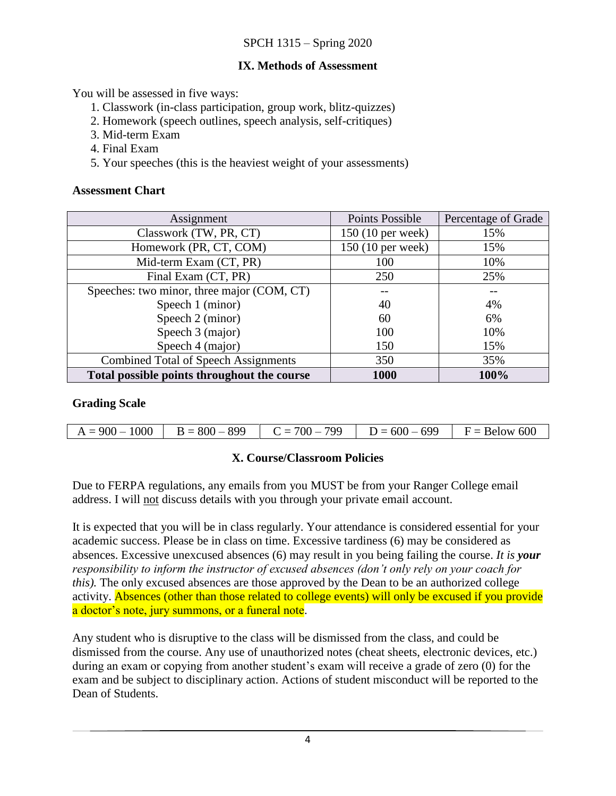#### **IX. Methods of Assessment**

You will be assessed in five ways:

- 1. Classwork (in-class participation, group work, blitz-quizzes)
- 2. Homework (speech outlines, speech analysis, self-critiques)
- 3. Mid-term Exam
- 4. Final Exam
- 5. Your speeches (this is the heaviest weight of your assessments)

#### **Assessment Chart**

| Assignment                                  | <b>Points Possible</b> | Percentage of Grade |
|---------------------------------------------|------------------------|---------------------|
| Classwork (TW, PR, CT)                      | 150 (10 per week)      | 15%                 |
| Homework (PR, CT, COM)                      | 150 (10 per week)      | 15%                 |
| Mid-term Exam (CT, PR)                      | 100                    | 10%                 |
| Final Exam (CT, PR)                         | 250                    | 25%                 |
| Speeches: two minor, three major (COM, CT)  |                        |                     |
| Speech 1 (minor)                            | 40                     | 4%                  |
| Speech 2 (minor)                            | 60                     | 6%                  |
| Speech 3 (major)                            | 100                    | 10%                 |
| Speech 4 (major)                            | 150                    | 15%                 |
| <b>Combined Total of Speech Assignments</b> | 350                    | 35%                 |
| Total possible points throughout the course | 1000                   | 100%                |

#### **Grading Scale**

| $A = 900 - 1000$ | $D = 800 - 899$ $C = 700 - 799$ $D = 600 - 699$ $F = 8$ elow 600 |  |
|------------------|------------------------------------------------------------------|--|

#### **X. Course/Classroom Policies**

Due to FERPA regulations, any emails from you MUST be from your Ranger College email address. I will not discuss details with you through your private email account.

It is expected that you will be in class regularly. Your attendance is considered essential for your academic success. Please be in class on time. Excessive tardiness (6) may be considered as absences. Excessive unexcused absences (6) may result in you being failing the course. *It is your responsibility to inform the instructor of excused absences (don't only rely on your coach for this).* The only excused absences are those approved by the Dean to be an authorized college activity. Absences (other than those related to college events) will only be excused if you provide a doctor's note, jury summons, or a funeral note.

Any student who is disruptive to the class will be dismissed from the class, and could be dismissed from the course. Any use of unauthorized notes (cheat sheets, electronic devices, etc.) during an exam or copying from another student's exam will receive a grade of zero (0) for the exam and be subject to disciplinary action. Actions of student misconduct will be reported to the Dean of Students.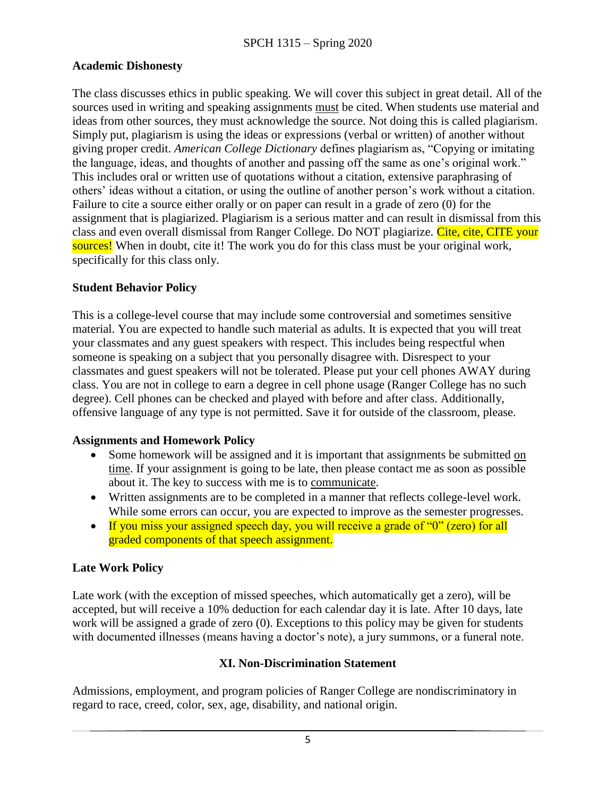#### **Academic Dishonesty**

The class discusses ethics in public speaking. We will cover this subject in great detail. All of the sources used in writing and speaking assignments must be cited. When students use material and ideas from other sources, they must acknowledge the source. Not doing this is called plagiarism. Simply put, plagiarism is using the ideas or expressions (verbal or written) of another without giving proper credit. *American College Dictionary* defines plagiarism as, "Copying or imitating the language, ideas, and thoughts of another and passing off the same as one's original work." This includes oral or written use of quotations without a citation, extensive paraphrasing of others' ideas without a citation, or using the outline of another person's work without a citation. Failure to cite a source either orally or on paper can result in a grade of zero (0) for the assignment that is plagiarized. Plagiarism is a serious matter and can result in dismissal from this class and even overall dismissal from Ranger College. Do NOT plagiarize. Cite, cite, CITE your sources! When in doubt, cite it! The work you do for this class must be your original work, specifically for this class only.

#### **Student Behavior Policy**

This is a college-level course that may include some controversial and sometimes sensitive material. You are expected to handle such material as adults. It is expected that you will treat your classmates and any guest speakers with respect. This includes being respectful when someone is speaking on a subject that you personally disagree with. Disrespect to your classmates and guest speakers will not be tolerated. Please put your cell phones AWAY during class. You are not in college to earn a degree in cell phone usage (Ranger College has no such degree). Cell phones can be checked and played with before and after class. Additionally, offensive language of any type is not permitted. Save it for outside of the classroom, please.

#### **Assignments and Homework Policy**

- Some homework will be assigned and it is important that assignments be submitted on time. If your assignment is going to be late, then please contact me as soon as possible about it. The key to success with me is to communicate.
- Written assignments are to be completed in a manner that reflects college-level work. While some errors can occur, you are expected to improve as the semester progresses.
- If you miss your assigned speech day, you will receive a grade of " $0$ " (zero) for all graded components of that speech assignment.

#### **Late Work Policy**

Late work (with the exception of missed speeches, which automatically get a zero), will be accepted, but will receive a 10% deduction for each calendar day it is late. After 10 days, late work will be assigned a grade of zero (0). Exceptions to this policy may be given for students with documented illnesses (means having a doctor's note), a jury summons, or a funeral note.

#### **XI. Non-Discrimination Statement**

Admissions, employment, and program policies of Ranger College are nondiscriminatory in regard to race, creed, color, sex, age, disability, and national origin.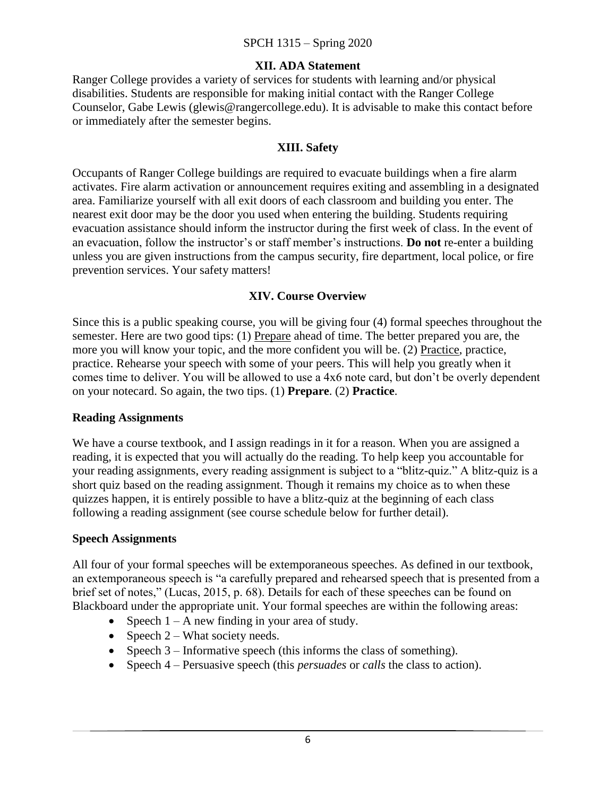#### **XII. ADA Statement**

Ranger College provides a variety of services for students with learning and/or physical disabilities. Students are responsible for making initial contact with the Ranger College Counselor, Gabe Lewis (glewis@rangercollege.edu). It is advisable to make this contact before or immediately after the semester begins.

#### **XIII. Safety**

Occupants of Ranger College buildings are required to evacuate buildings when a fire alarm activates. Fire alarm activation or announcement requires exiting and assembling in a designated area. Familiarize yourself with all exit doors of each classroom and building you enter. The nearest exit door may be the door you used when entering the building. Students requiring evacuation assistance should inform the instructor during the first week of class. In the event of an evacuation, follow the instructor's or staff member's instructions. **Do not** re-enter a building unless you are given instructions from the campus security, fire department, local police, or fire prevention services. Your safety matters!

#### **XIV. Course Overview**

Since this is a public speaking course, you will be giving four (4) formal speeches throughout the semester. Here are two good tips: (1) Prepare ahead of time. The better prepared you are, the more you will know your topic, and the more confident you will be. (2) Practice, practice, practice. Rehearse your speech with some of your peers. This will help you greatly when it comes time to deliver. You will be allowed to use a 4x6 note card, but don't be overly dependent on your notecard. So again, the two tips. (1) **Prepare**. (2) **Practice**.

#### **Reading Assignments**

We have a course textbook, and I assign readings in it for a reason. When you are assigned a reading, it is expected that you will actually do the reading. To help keep you accountable for your reading assignments, every reading assignment is subject to a "blitz-quiz." A blitz-quiz is a short quiz based on the reading assignment. Though it remains my choice as to when these quizzes happen, it is entirely possible to have a blitz-quiz at the beginning of each class following a reading assignment (see course schedule below for further detail).

#### **Speech Assignments**

All four of your formal speeches will be extemporaneous speeches. As defined in our textbook, an extemporaneous speech is "a carefully prepared and rehearsed speech that is presented from a brief set of notes," (Lucas, 2015, p. 68). Details for each of these speeches can be found on Blackboard under the appropriate unit. Your formal speeches are within the following areas:

- Speech  $1 A$  new finding in your area of study.
- Speech  $2$  What society needs.
- Speech  $3$  Informative speech (this informs the class of something).
- Speech 4 Persuasive speech (this *persuades* or *calls* the class to action).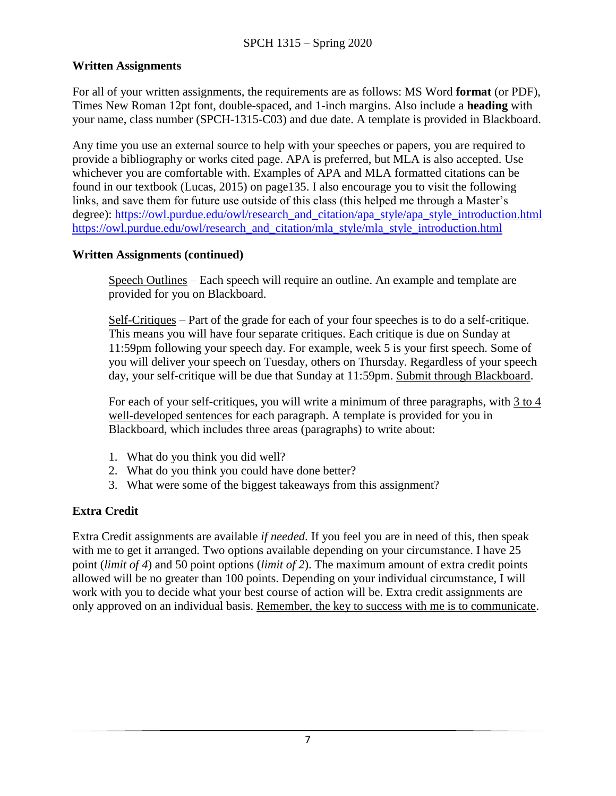#### **Written Assignments**

For all of your written assignments, the requirements are as follows: MS Word **format** (or PDF), Times New Roman 12pt font, double-spaced, and 1-inch margins. Also include a **heading** with your name, class number (SPCH-1315-C03) and due date. A template is provided in Blackboard.

Any time you use an external source to help with your speeches or papers, you are required to provide a bibliography or works cited page. APA is preferred, but MLA is also accepted. Use whichever you are comfortable with. Examples of APA and MLA formatted citations can be found in our textbook (Lucas, 2015) on page135. I also encourage you to visit the following links, and save them for future use outside of this class (this helped me through a Master's degree): [https://owl.purdue.edu/owl/research\\_and\\_citation/apa\\_style/apa\\_style\\_introduction.html](https://owl.purdue.edu/owl/research_and_citation/apa_style/apa_style_introduction.html) [https://owl.purdue.edu/owl/research\\_and\\_citation/mla\\_style/mla\\_style\\_introduction.html](https://owl.purdue.edu/owl/research_and_citation/mla_style/mla_style_introduction.html)

#### **Written Assignments (continued)**

Speech Outlines – Each speech will require an outline. An example and template are provided for you on Blackboard.

Self-Critiques – Part of the grade for each of your four speeches is to do a self-critique. This means you will have four separate critiques. Each critique is due on Sunday at 11:59pm following your speech day. For example, week 5 is your first speech. Some of you will deliver your speech on Tuesday, others on Thursday. Regardless of your speech day, your self-critique will be due that Sunday at 11:59pm. Submit through Blackboard.

For each of your self-critiques, you will write a minimum of three paragraphs, with 3 to 4 well-developed sentences for each paragraph. A template is provided for you in Blackboard, which includes three areas (paragraphs) to write about:

- 1. What do you think you did well?
- 2. What do you think you could have done better?
- 3. What were some of the biggest takeaways from this assignment?

#### **Extra Credit**

Extra Credit assignments are available *if needed*. If you feel you are in need of this, then speak with me to get it arranged. Two options available depending on your circumstance. I have 25 point (*limit of 4*) and 50 point options (*limit of 2*). The maximum amount of extra credit points allowed will be no greater than 100 points. Depending on your individual circumstance, I will work with you to decide what your best course of action will be. Extra credit assignments are only approved on an individual basis. Remember, the key to success with me is to communicate.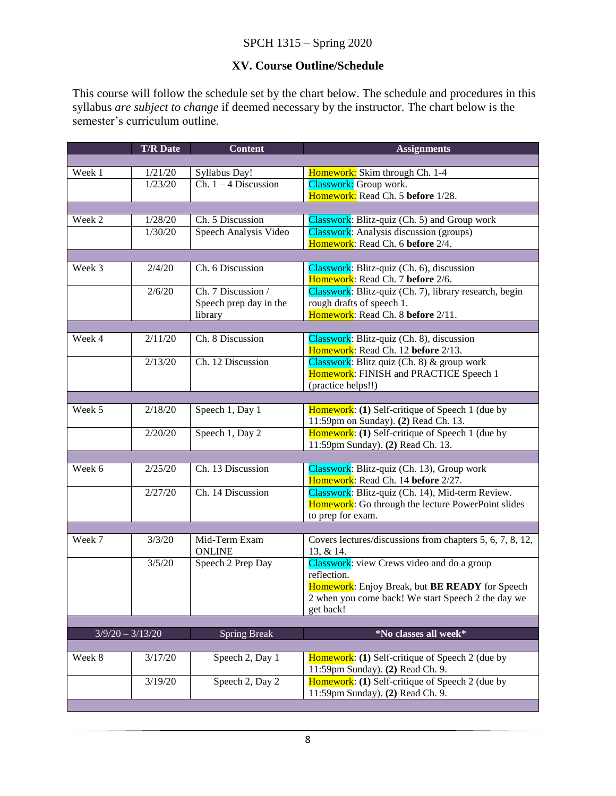#### SPCH 1315 – Spring 2020

#### **XV. Course Outline/Schedule**

This course will follow the schedule set by the chart below. The schedule and procedures in this syllabus *are subject to change* if deemed necessary by the instructor. The chart below is the semester's curriculum outline.

|                    | <b>T/R Date</b> | <b>Content</b>         | <b>Assignments</b>                                                                                   |
|--------------------|-----------------|------------------------|------------------------------------------------------------------------------------------------------|
|                    |                 |                        |                                                                                                      |
| Week 1             | 1/21/20         | Syllabus Day!          | Homework: Skim through Ch. 1-4                                                                       |
|                    | 1/23/20         | Ch. $1 - 4$ Discussion | Classwork: Group work.                                                                               |
|                    |                 |                        | Homework: Read Ch. 5 before 1/28.                                                                    |
|                    |                 |                        |                                                                                                      |
| Week 2             | 1/28/20         | Ch. 5 Discussion       | Classwork: Blitz-quiz (Ch. 5) and Group work                                                         |
|                    | 1/30/20         | Speech Analysis Video  | <b>Classwork:</b> Analysis discussion (groups)                                                       |
|                    |                 |                        | Homework: Read Ch. 6 before 2/4.                                                                     |
| Week 3             | 2/4/20          | Ch. 6 Discussion       |                                                                                                      |
|                    |                 |                        | Classwork: Blitz-quiz (Ch. 6), discussion<br>Homework: Read Ch. 7 before 2/6.                        |
|                    | 2/6/20          | Ch. 7 Discussion /     | Classwork: Blitz-quiz (Ch. 7), library research, begin                                               |
|                    |                 | Speech prep day in the | rough drafts of speech 1.                                                                            |
|                    |                 | library                | Homework: Read Ch. 8 before 2/11.                                                                    |
|                    |                 |                        |                                                                                                      |
| Week 4             | 2/11/20         | Ch. 8 Discussion       | Classwork: Blitz-quiz (Ch. 8), discussion                                                            |
|                    |                 |                        | Homework: Read Ch. 12 before 2/13.                                                                   |
|                    | 2/13/20         | Ch. 12 Discussion      | Classwork: Blitz quiz (Ch. 8) & group work                                                           |
|                    |                 |                        | Homework: FINISH and PRACTICE Speech 1                                                               |
|                    |                 |                        | (practice helps!!)                                                                                   |
|                    |                 |                        |                                                                                                      |
| Week 5             | 2/18/20         | Speech 1, Day 1        | Homework: (1) Self-critique of Speech 1 (due by                                                      |
|                    |                 |                        | 11:59pm on Sunday). (2) Read Ch. 13.                                                                 |
|                    | 2/20/20         | Speech 1, Day 2        | Homework: (1) Self-critique of Speech 1 (due by<br>11:59pm Sunday). (2) Read Ch. 13.                 |
|                    |                 |                        |                                                                                                      |
| Week 6             | 2/25/20         | Ch. 13 Discussion      | Classwork: Blitz-quiz (Ch. 13), Group work                                                           |
|                    |                 |                        | Homework: Read Ch. 14 before 2/27.                                                                   |
|                    | 2/27/20         | Ch. 14 Discussion      | Classwork: Blitz-quiz (Ch. 14), Mid-term Review.                                                     |
|                    |                 |                        | Homework: Go through the lecture PowerPoint slides                                                   |
|                    |                 |                        | to prep for exam.                                                                                    |
|                    |                 |                        |                                                                                                      |
| Week 7             | 3/3/20          | Mid-Term Exam          | Covers lectures/discussions from chapters 5, 6, 7, 8, 12,                                            |
|                    |                 | <b>ONLINE</b>          | 13, & 14.                                                                                            |
|                    | 3/5/20          | Speech 2 Prep Day      | Classwork: view Crews video and do a group                                                           |
|                    |                 |                        | reflection.                                                                                          |
|                    |                 |                        | Homework: Enjoy Break, but BE READY for Speech<br>2 when you come back! We start Speech 2 the day we |
|                    |                 |                        | get back!                                                                                            |
|                    |                 |                        |                                                                                                      |
| $3/9/20 - 3/13/20$ |                 | <b>Spring Break</b>    | *No classes all week*                                                                                |
|                    |                 |                        |                                                                                                      |
| Week 8             | 3/17/20         | Speech 2, Day 1        | <b>Homework:</b> (1) Self-critique of Speech 2 (due by                                               |
|                    |                 |                        | 11:59pm Sunday). (2) Read Ch. 9.                                                                     |
|                    | 3/19/20         | Speech 2, Day 2        | Homework: (1) Self-critique of Speech 2 (due by                                                      |
|                    |                 |                        | 11:59pm Sunday). (2) Read Ch. 9.                                                                     |
|                    |                 |                        |                                                                                                      |